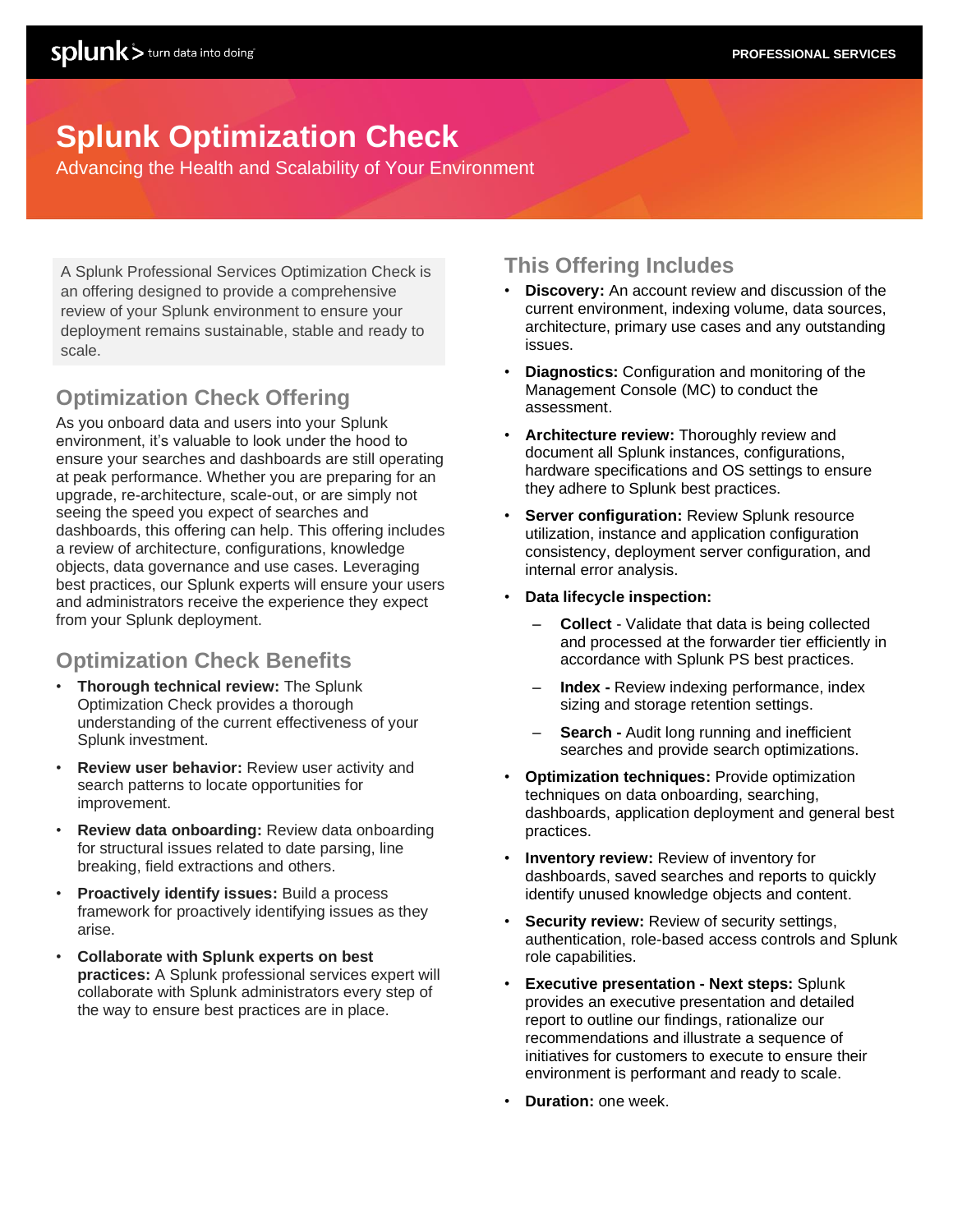# **Splunk Optimization Check**

Advancing the Health and Scalability of Your Environment

A Splunk Professional Services Optimization Check is an offering designed to provide a comprehensive review of your Splunk environment to ensure your deployment remains sustainable, stable and ready to scale.

## **Optimization Check Offering**

As you onboard data and users into your Splunk environment, it's valuable to look under the hood to ensure your searches and dashboards are still operating at peak performance. Whether you are preparing for an upgrade, re-architecture, scale-out, or are simply not seeing the speed you expect of searches and dashboards, this offering can help. This offering includes a review of architecture, configurations, knowledge objects, data governance and use cases. Leveraging best practices, our Splunk experts will ensure your users and administrators receive the experience they expect from your Splunk deployment.

## **Optimization Check Benefits**

- **Thorough technical review:** The Splunk Optimization Check provides a thorough understanding of the current effectiveness of your Splunk investment.
- **Review user behavior:** Review user activity and search patterns to locate opportunities for improvement.
- **Review data onboarding:** Review data onboarding for structural issues related to date parsing, line breaking, field extractions and others.
- **Proactively identify issues:** Build a process framework for proactively identifying issues as they arise.
- **Collaborate with Splunk experts on best practices:** A Splunk professional services expert will collaborate with Splunk administrators every step of the way to ensure best practices are in place.

## **This Offering Includes**

- **Discovery:** An account review and discussion of the current environment, indexing volume, data sources, architecture, primary use cases and any outstanding issues.
- **Diagnostics:** Configuration and monitoring of the Management Console (MC) to conduct the assessment.
- **Architecture review:** Thoroughly review and document all Splunk instances, configurations, hardware specifications and OS settings to ensure they adhere to Splunk best practices.
- **Server configuration: Review Splunk resource** utilization, instance and application configuration consistency, deployment server configuration, and internal error analysis.
- **Data lifecycle inspection:**
	- **Collect**  Validate that data is being collected and processed at the forwarder tier efficiently in accordance with Splunk PS best practices.
	- **Index -** Review indexing performance, index sizing and storage retention settings.
	- **Search -** Audit long running and inefficient searches and provide search optimizations.
- **Optimization techniques:** Provide optimization techniques on data onboarding, searching, dashboards, application deployment and general best practices.
- **Inventory review:** Review of inventory for dashboards, saved searches and reports to quickly identify unused knowledge objects and content.
- **Security review:** Review of security settings, authentication, role-based access controls and Splunk role capabilities.
- **Executive presentation - Next steps:** Splunk provides an executive presentation and detailed report to outline our findings, rationalize our recommendations and illustrate a sequence of initiatives for customers to execute to ensure their environment is performant and ready to scale.
- **Duration:** one week.